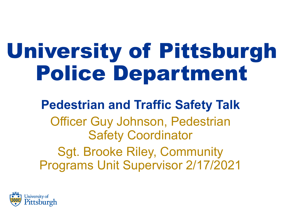# University of Pittsburgh Police Department

### **Pedestrian and Traffic Safety Talk** Officer Guy Johnson, Pedestrian Safety Coordinator Sgt. Brooke Riley, Community Programs Unit Supervisor 2/17/2021

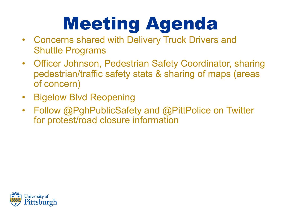# Meeting Agenda

- Concerns shared with Delivery Truck Drivers and Shuttle Programs
- Officer Johnson, Pedestrian Safety Coordinator, sharing pedestrian/traffic safety stats & sharing of maps (areas of concern)
- Bigelow Blvd Reopening
- Follow @PghPublicSafety and @PittPolice on Twitter for protest/road closure information

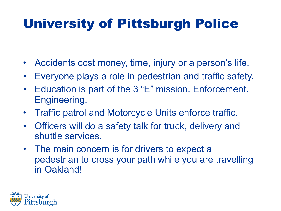### University of Pittsburgh Police

- Accidents cost money, time, injury or a person's life.
- Everyone plays a role in pedestrian and traffic safety.
- Education is part of the 3 "E" mission. Enforcement. Engineering.
- Traffic patrol and Motorcycle Units enforce traffic.
- Officers will do a safety talk for truck, delivery and shuttle services.
- The main concern is for drivers to expect a pedestrian to cross your path while you are travelling in Oakland!

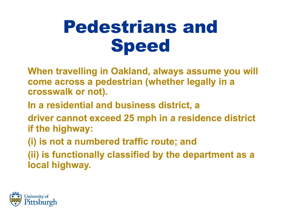## Pedestrians and Speed

- **When travelling in Oakland, always assume you will come across a pedestrian (whether legally in a crosswalk or not).**
- **In a residential and business district, a**
- **driver cannot exceed 25 mph in a residence district if the highway:**
- **(i) is not a numbered traffic route; and**
- **(ii) is functionally classified by the department as a local highway.**

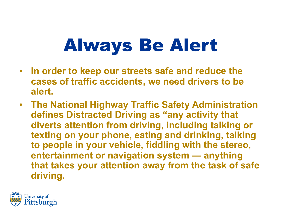## Always Be Alert

- **In order to keep our streets safe and reduce the cases of traffic accidents, we need drivers to be alert.**
- **The National Highway Traffic Safety Administration defines Distracted Driving as "any activity that diverts attention from driving, including talking or texting on your phone, eating and drinking, talking to people in your vehicle, fiddling with the stereo, entertainment or navigation system — anything that takes your attention away from the task of safe driving.**

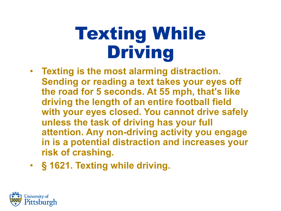## Texting While Driving

- **Texting is the most alarming distraction. Sending or reading a text takes your eyes off the road for 5 seconds. At 55 mph, that's like driving the length of an entire football field with your eyes closed. You cannot drive safely unless the task of driving has your full attention. Any non-driving activity you engage in is a potential distraction and increases your risk of crashing.**
- **§ 1621. Texting while driving.**

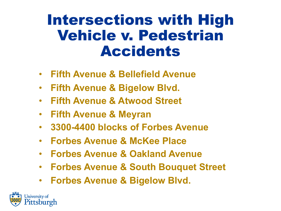### Intersections with High Vehicle v. Pedestrian Accidents

- **Fifth Avenue & Bellefield Avenue**
- **Fifth Avenue & Bigelow Blvd.**
- **Fifth Avenue & Atwood Street**
- **Fifth Avenue & Meyran**
- **3300-4400 blocks of Forbes Avenue**
- **Forbes Avenue & McKee Place**
- **Forbes Avenue & Oakland Avenue**
- **Forbes Avenue & South Bouquet Street**
- **Forbes Avenue & Bigelow Blvd.**

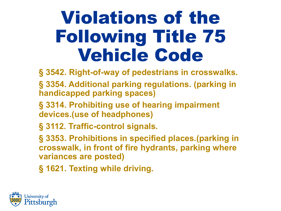## Violations of the Following Title 75 Vehicle Code

**§ 3542. Right-of-way of pedestrians in crosswalks.** 

- **§ 3354. Additional parking regulations. (parking in handicapped parking spaces)**
- **§ 3314. Prohibiting use of hearing impairment devices.(use of headphones)**
- **§ 3112. Traffic-control signals.**

**§ 3353. Prohibitions in specified places.(parking in crosswalk, in front of fire hydrants, parking where variances are posted)**

**§ 1621. Texting while driving.**

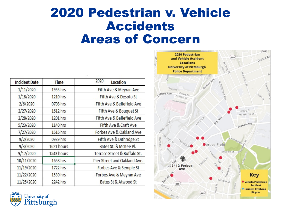### 2020 Pedestrian v. Vehicle Accidents Areas of Concern

| <b>Incident Date</b> | Time       | 2020<br>Location             |
|----------------------|------------|------------------------------|
| 1/11/2020            | 1953 hrs   | Fifth Ave & Meyran Ave       |
| 1/18/2020            | 1210 hrs   | Fifth Ave & Desoto St        |
| 2/6/2020             | 0708 hrs   | Fifth Ave & Bellefield Ave   |
| 2/27/2020            | 1612 hrs   | Fifth Ave & Bouquet St       |
| 2/28/2020            | 1201 hrs   | Fifth Ave & Bellefield Ave   |
| 5/23/2020            | 1140 hrs   | Fifth Ave & Craft Ave        |
| 7/27/2020            | 1616 hrs   | Forbes Ave & Oakland Ave     |
| 9/2/2020             | 0939 hrs   | Fifth Ave & Dithridge St     |
| 9/3/2020             | 1621 hours | Bates St. & McKee Pl.        |
| 9/17/2020            | 1543 hours | Terrace Street & Buffalo St. |
| 10/11/2020           | 1658 hrs   | Pier Street and Oakland Ave. |
| 11/19/2020           | 1722 hrs   | Forbes Ave & Semple St       |
| 11/22/2020           | 1530 hrs   | Forbes Ave & Meyran Ave      |
| 11/25/2020           | 2242 hrs   | Bates St & Atwood St         |
|                      |            |                              |



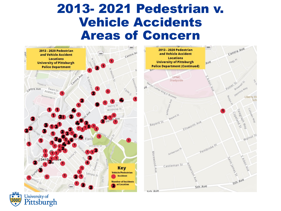#### 2013- 2021 Pedestrian v. Vehicle Accidents Areas of Concern



University of<br>**Pittsburgh**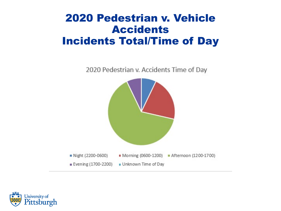#### 2020 Pedestrian v. Vehicle Accidents Incidents Total/Time of Day



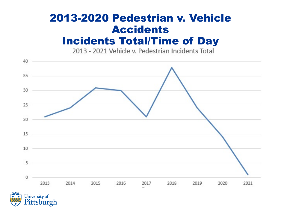### 2013-2020 Pedestrian v. Vehicle Accidents **Incidents Total/Time of Day**<br>2013 - 2021 Vehicle v. Pedestrian Incidents Total



Pittsburgh